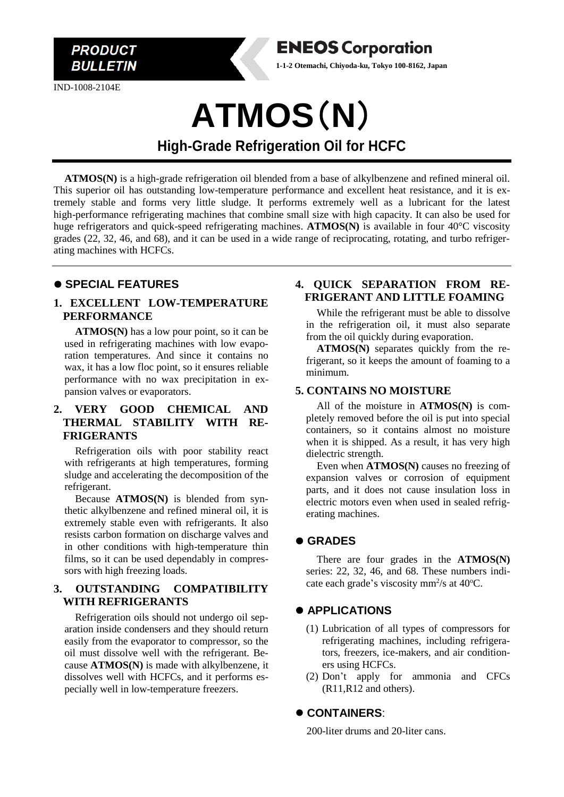IND-1008-2104E

**PRODUCT BULLETIN** 



**ATMOS(N)** is a high-grade refrigeration oil blended from a base of alkylbenzene and refined mineral oil. This superior oil has outstanding low-temperature performance and excellent heat resistance, and it is extremely stable and forms very little sludge. It performs extremely well as a lubricant for the latest high-performance refrigerating machines that combine small size with high capacity. It can also be used for huge refrigerators and quick-speed refrigerating machines. **ATMOS(N)** is available in four 40°C viscosity grades (22, 32, 46, and 68), and it can be used in a wide range of reciprocating, rotating, and turbo refrigerating machines with HCFCs.

## ⚫ **SPECIAL FEATURES**

#### **1. EXCELLENT LOW-TEMPERATURE PERFORMANCE**

**ATMOS(N)** has a low pour point, so it can be used in refrigerating machines with low evaporation temperatures. And since it contains no wax, it has a low floc point, so it ensures reliable performance with no wax precipitation in expansion valves or evaporators.

#### **2. VERY GOOD CHEMICAL AND THERMAL STABILITY WITH RE-FRIGERANTS**

Refrigeration oils with poor stability react with refrigerants at high temperatures, forming sludge and accelerating the decomposition of the refrigerant.

Because **ATMOS(N)** is blended from synthetic alkylbenzene and refined mineral oil, it is extremely stable even with refrigerants. It also resists carbon formation on discharge valves and in other conditions with high-temperature thin films, so it can be used dependably in compressors with high freezing loads.

#### **3. OUTSTANDING COMPATIBILITY WITH REFRIGERANTS**

Refrigeration oils should not undergo oil separation inside condensers and they should return easily from the evaporator to compressor, so the oil must dissolve well with the refrigerant. Because **ATMOS(N)** is made with alkylbenzene, it dissolves well with HCFCs, and it performs especially well in low-temperature freezers.

#### **4. QUICK SEPARATION FROM RE-FRIGERANT AND LITTLE FOAMING**

While the refrigerant must be able to dissolve in the refrigeration oil, it must also separate from the oil quickly during evaporation.

**ATMOS(N)** separates quickly from the refrigerant, so it keeps the amount of foaming to a minimum.

#### **5. CONTAINS NO MOISTURE**

**ENEOS Corporation 1-1-2 Otemachi, Chiyoda-ku, Tokyo 100-8162, Japan**

> All of the moisture in **ATMOS(N)** is completely removed before the oil is put into special containers, so it contains almost no moisture when it is shipped. As a result, it has very high dielectric strength.

> Even when **ATMOS(N)** causes no freezing of expansion valves or corrosion of equipment parts, and it does not cause insulation loss in electric motors even when used in sealed refrigerating machines.

## ⚫ **GRADES**

There are four grades in the **ATMOS(N)** series: 22, 32, 46, and 68. These numbers indicate each grade's viscosity mm<sup>2</sup>/s at 40°C.

## ⚫ **APPLICATIONS**

- (1) Lubrication of all types of compressors for refrigerating machines, including refrigerators, freezers, ice-makers, and air conditioners using HCFCs.
- (2) Don't apply for ammonia and CFCs (R11,R12 and others).

## ⚫ **CONTAINERS**:

200-liter drums and 20-liter cans.